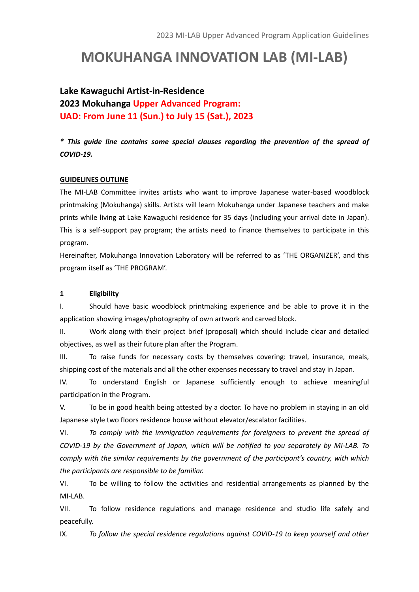### **MOKUHANGA INNOVATION LAB (MI-LAB)**

### **Lake Kawaguchi Artist-in-Residence 2023 Mokuhanga Upper Advanced Program: UAD: From June 11 (Sun.) to July 15 (Sat.), 2023**

*\* This guide line contains some special clauses regarding the prevention of the spread of COVID-19.*

#### **GUIDELINES OUTLINE**

The MI-LAB Committee invites artists who want to improve Japanese water-based woodblock printmaking (Mokuhanga) skills. Artists will learn Mokuhanga under Japanese teachers and make prints while living at Lake Kawaguchi residence for 35 days (including your arrival date in Japan). This is a self-support pay program; the artists need to finance themselves to participate in this program.

Hereinafter, Mokuhanga Innovation Laboratory will be referred to as 'THE ORGANIZER', and this program itself as 'THE PROGRAM'.

#### **1 Eligibility**

I. Should have basic woodblock printmaking experience and be able to prove it in the application showing images/photography of own artwork and carved block.

II. Work along with their project brief (proposal) which should include clear and detailed objectives, as well as their future plan after the Program.

III. To raise funds for necessary costs by themselves covering: travel, insurance, meals, shipping cost of the materials and all the other expenses necessary to travel and stay in Japan.

IV. To understand English or Japanese sufficiently enough to achieve meaningful participation in the Program.

V. To be in good health being attested by a doctor. To have no problem in staying in an old Japanese style two floors residence house without elevator/escalator facilities.

VI. *To comply with the immigration requirements for foreigners to prevent the spread of COVID-19 by the Government of Japan, which will be notified to you separately by MI-LAB. To comply with the similar requirements by the government of the participant's country, with which the participants are responsible to be familiar.*

VI. To be willing to follow the activities and residential arrangements as planned by the MI-LAB.

VII. To follow residence regulations and manage residence and studio life safely and peacefully.

IX. *To follow the special residence regulations against COVID-19 to keep yourself and other*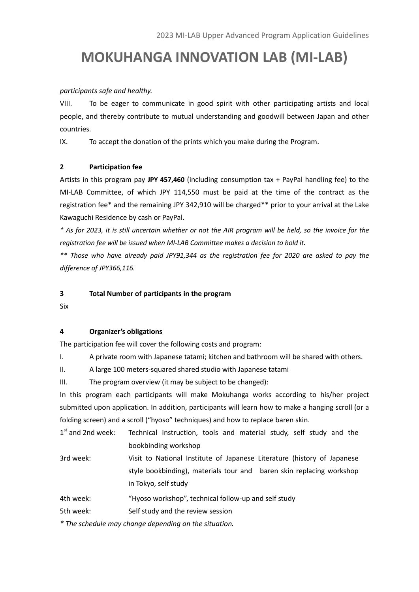# **MOKUHANGA INNOVATION LAB (MI-LAB)**

#### *participants safe and healthy.*

VIII. To be eager to communicate in good spirit with other participating artists and local people, and thereby contribute to mutual understanding and goodwill between Japan and other countries.

IX. To accept the donation of the prints which you make during the Program.

#### **2 Participation fee**

Artists in this program pay **JPY 457,460** (including consumption tax + PayPal handling fee) to the MI-LAB Committee, of which JPY 114,550 must be paid at the time of the contract as the registration fee\* and the remaining JPY 342,910 will be charged\*\* prior to your arrival at the Lake Kawaguchi Residence by cash or PayPal.

*\* As for 2023, it is still uncertain whether or not the AIR program will be held, so the invoice for the registration fee will be issued when MI-LAB Committee makes a decision to hold it.* 

*\*\* Those who have already paid JPY91,344 as the registration fee for 2020 are asked to pay the difference of JPY366,116.*

#### **3 Total Number of participants in the program**

Six

#### **4 Organizer's obligations**

The participation fee will cover the following costs and program:

I. A private room with Japanese tatami; kitchen and bathroom will be shared with others.

II. A large 100 meters-squared shared studio with Japanese tatami

III. The program overview (it may be subject to be changed):

In this program each participants will make Mokuhanga works according to his/her project submitted upon application. In addition, participants will learn how to make a hanging scroll (or a folding screen) and a scroll ("hyoso" techniques) and how to replace baren skin.

 $1<sup>st</sup>$  and 2nd week: Technical instruction, tools and material study, self study and the bookbinding workshop

- 3rd week: Visit to National Institute of Japanese Literature (history of Japanese style bookbinding), materials tour and baren skin replacing workshop in Tokyo, self study
- 4th week: "Hyoso workshop", technical follow-up and self study
- 5th week: Self study and the review session

*\* The schedule may change depending on the situation.*